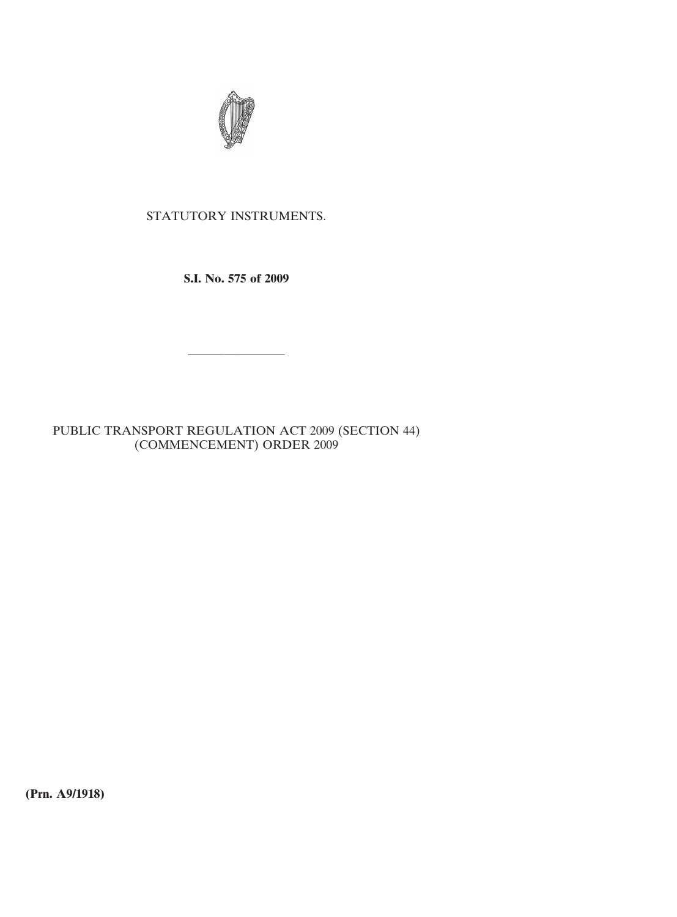

## STATUTORY INSTRUMENTS.

**S.I. No. 575 of 2009**

————————

PUBLIC TRANSPORT REGULATION ACT 2009 (SECTION 44) (COMMENCEMENT) ORDER 2009

**(Prn. A9/1918)**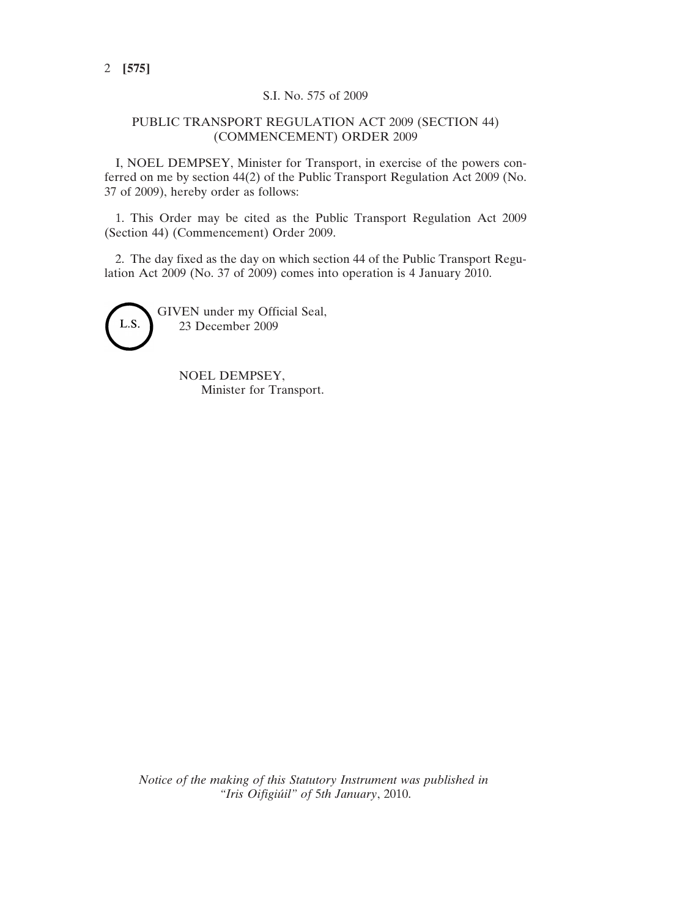## S.I. No. 575 of 2009

## PUBLIC TRANSPORT REGULATION ACT 2009 (SECTION 44) (COMMENCEMENT) ORDER 2009

I, NOEL DEMPSEY, Minister for Transport, in exercise of the powers conferred on me by section 44(2) of the Public Transport Regulation Act 2009 (No. 37 of 2009), hereby order as follows:

1. This Order may be cited as the Public Transport Regulation Act 2009 (Section 44) (Commencement) Order 2009.

2. The day fixed as the day on which section 44 of the Public Transport Regulation Act 2009 (No. 37 of 2009) comes into operation is 4 January 2010.



GIVEN under my Official Seal, 23 December 2009

> NOEL DEMPSEY, Minister for Transport.

*Notice of the making of this Statutory Instrument was published in "Iris Oifigiúil" of* 5*th January*, 2010.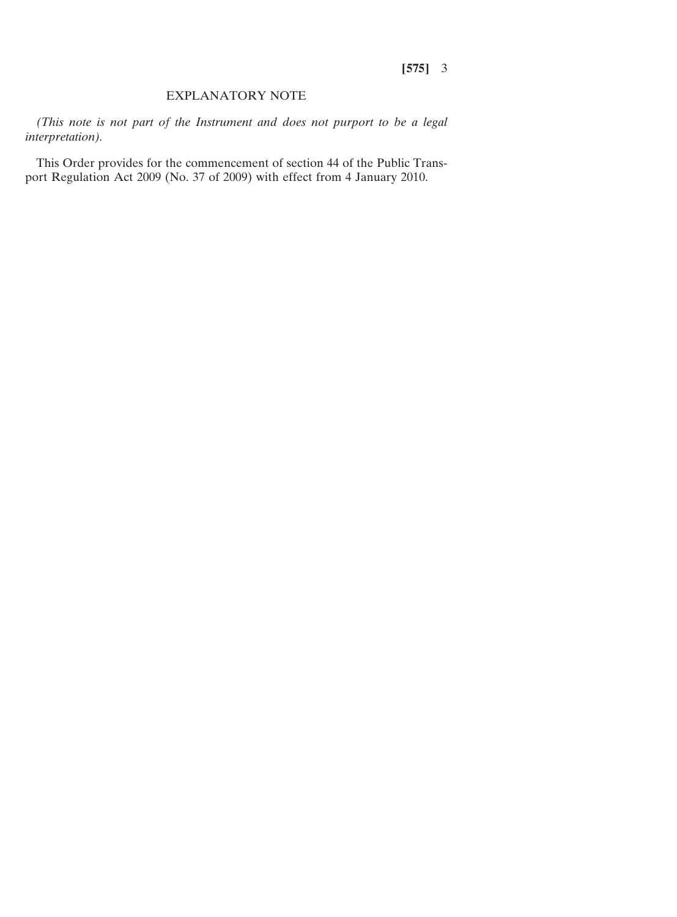## EXPLANATORY NOTE

*(This note is not part of the Instrument and does not purport to be a legal interpretation).*

This Order provides for the commencement of section 44 of the Public Transport Regulation Act 2009 (No. 37 of 2009) with effect from 4 January 2010.